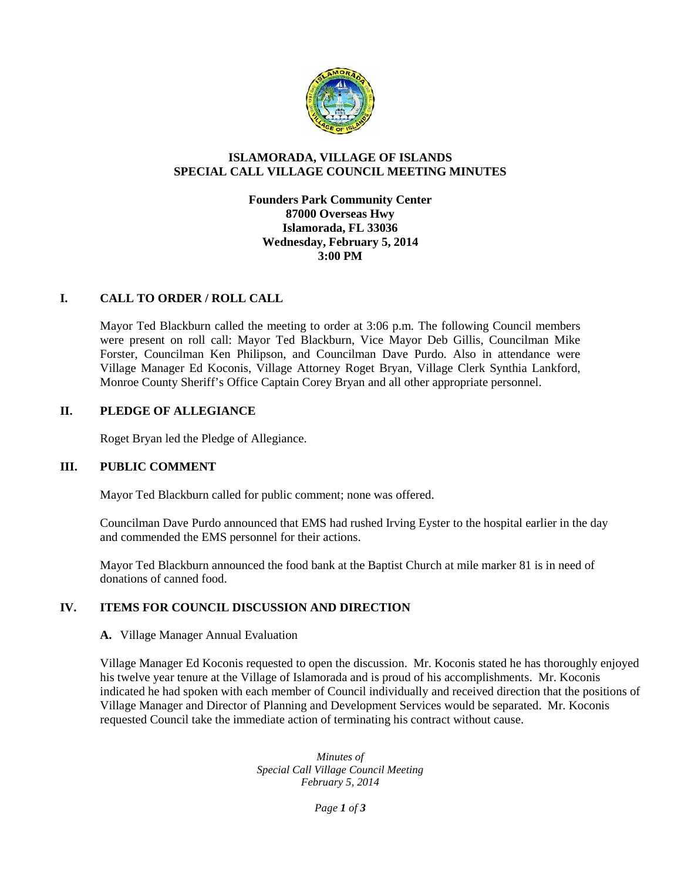

## **ISLAMORADA, VILLAGE OF ISLANDS SPECIAL CALL VILLAGE COUNCIL MEETING MINUTES**

**Founders Park Community Center 87000 Overseas Hwy Islamorada, FL 33036 Wednesday, February 5, 2014 3:00 PM**

### **I. CALL TO ORDER / ROLL CALL**

Mayor Ted Blackburn called the meeting to order at 3:06 p.m. The following Council members were present on roll call: Mayor Ted Blackburn, Vice Mayor Deb Gillis, Councilman Mike Forster, Councilman Ken Philipson, and Councilman Dave Purdo. Also in attendance were Village Manager Ed Koconis, Village Attorney Roget Bryan, Village Clerk Synthia Lankford, Monroe County Sheriff's Office Captain Corey Bryan and all other appropriate personnel.

### **II. PLEDGE OF ALLEGIANCE**

Roget Bryan led the Pledge of Allegiance.

### **III. PUBLIC COMMENT**

Mayor Ted Blackburn called for public comment; none was offered.

Councilman Dave Purdo announced that EMS had rushed Irving Eyster to the hospital earlier in the day and commended the EMS personnel for their actions.

Mayor Ted Blackburn announced the food bank at the Baptist Church at mile marker 81 is in need of donations of canned food.

# **IV. ITEMS FOR COUNCIL DISCUSSION AND DIRECTION**

### **A.** Village Manager Annual Evaluation

Village Manager Ed Koconis requested to open the discussion. Mr. Koconis stated he has thoroughly enjoyed his twelve year tenure at the Village of Islamorada and is proud of his accomplishments. Mr. Koconis indicated he had spoken with each member of Council individually and received direction that the positions of Village Manager and Director of Planning and Development Services would be separated. Mr. Koconis requested Council take the immediate action of terminating his contract without cause.

> *Minutes of Special Call Village Council Meeting February 5, 2014*

> > *Page 1 of 3*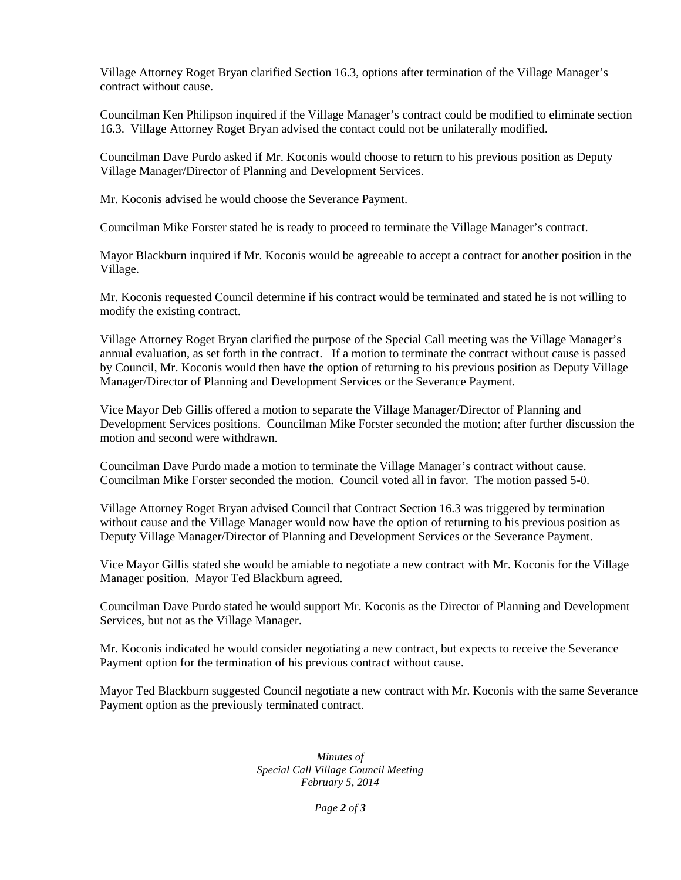Village Attorney Roget Bryan clarified Section 16.3, options after termination of the Village Manager's contract without cause.

Councilman Ken Philipson inquired if the Village Manager's contract could be modified to eliminate section 16.3. Village Attorney Roget Bryan advised the contact could not be unilaterally modified.

Councilman Dave Purdo asked if Mr. Koconis would choose to return to his previous position as Deputy Village Manager/Director of Planning and Development Services.

Mr. Koconis advised he would choose the Severance Payment.

Councilman Mike Forster stated he is ready to proceed to terminate the Village Manager's contract.

Mayor Blackburn inquired if Mr. Koconis would be agreeable to accept a contract for another position in the Village.

Mr. Koconis requested Council determine if his contract would be terminated and stated he is not willing to modify the existing contract.

Village Attorney Roget Bryan clarified the purpose of the Special Call meeting was the Village Manager's annual evaluation, as set forth in the contract. If a motion to terminate the contract without cause is passed by Council, Mr. Koconis would then have the option of returning to his previous position as Deputy Village Manager/Director of Planning and Development Services or the Severance Payment.

Vice Mayor Deb Gillis offered a motion to separate the Village Manager/Director of Planning and Development Services positions. Councilman Mike Forster seconded the motion; after further discussion the motion and second were withdrawn.

Councilman Dave Purdo made a motion to terminate the Village Manager's contract without cause. Councilman Mike Forster seconded the motion. Council voted all in favor. The motion passed 5-0.

Village Attorney Roget Bryan advised Council that Contract Section 16.3 was triggered by termination without cause and the Village Manager would now have the option of returning to his previous position as Deputy Village Manager/Director of Planning and Development Services or the Severance Payment.

Vice Mayor Gillis stated she would be amiable to negotiate a new contract with Mr. Koconis for the Village Manager position. Mayor Ted Blackburn agreed.

Councilman Dave Purdo stated he would support Mr. Koconis as the Director of Planning and Development Services, but not as the Village Manager.

Mr. Koconis indicated he would consider negotiating a new contract, but expects to receive the Severance Payment option for the termination of his previous contract without cause.

Mayor Ted Blackburn suggested Council negotiate a new contract with Mr. Koconis with the same Severance Payment option as the previously terminated contract.

> *Minutes of Special Call Village Council Meeting February 5, 2014*

> > *Page 2 of 3*